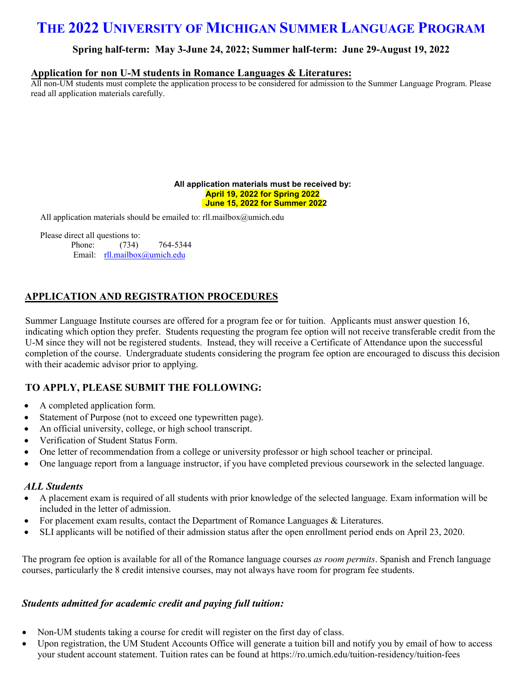# **THE 2022 UNIVERSITY OF MICHIGAN SUMMER LANGUAGE PROGRAM**

### **Spring half-term: May 3-June 24, 2022; Summer half-term: June 29-August 19, 2022**

#### **Application for non U-M students in Romance Languages & Literatures:**

All non-UM students must complete the application process to be considered for admission to the Summer Language Program. Please read all application materials carefully.

#### **All application materials must be received by: April 19, 2022 for Spring 2022 June 15, 2022 for Summer 2022**

All application materials should be emailed to: rll.mailbox@umich.edu

Please direct all questions to:

Phone: (734) 764-5344 Email: rll.mailbox@umich.edu

### **APPLICATION AND REGISTRATION PROCEDURES**

Summer Language Institute courses are offered for a program fee or for tuition. Applicants must answer question 16, indicating which op[tion they prefer. Stude](mailto:rll.mailbox@umich.edu)nts requesting the program fee option will not receive transferable credit from the U-M since they will not be registered students. Instead, they will receive a Certificate of Attendance upon the successful completion of the course. Undergraduate students considering the program fee option are encouraged to discuss this decision with their academic advisor prior to applying.

### **TO APPLY, PLEASE SUBMIT THE FOLLOWING:**

- A completed application form.
- Statement of Purpose (not to exceed one typewritten page).
- An official university, college, or high school transcript.
- Verification of Student Status Form.
- One letter of recommendation from a college or university professor or high school teacher or principal.
- One language report from a language instructor, if you have completed previous coursework in the selected language.

#### *ALL Students*

- A placement exam is required of all students with prior knowledge of the selected language. Exam information will be included in the letter of admission.
- For placement exam results, contact the Department of Romance Languages & Literatures.
- SLI applicants will be notified of their admission status after the open enrollment period ends on April 23, 2020.

The program fee option is available for all of the Romance language courses *as room permits*. Spanish and French language courses, particularly the 8 credit intensive courses, may not always have room for program fee students.

#### *Students admitted for academic credit and paying full tuition:*

- Non-UM students taking a course for credit will register on the first day of class.
- Upon registration, the UM Student Accounts Office will generate a tuition bill and notify you by email of how to access your student account statement. Tuition rates can be found at https://ro.umich.edu/tuition-residency/tuition-fees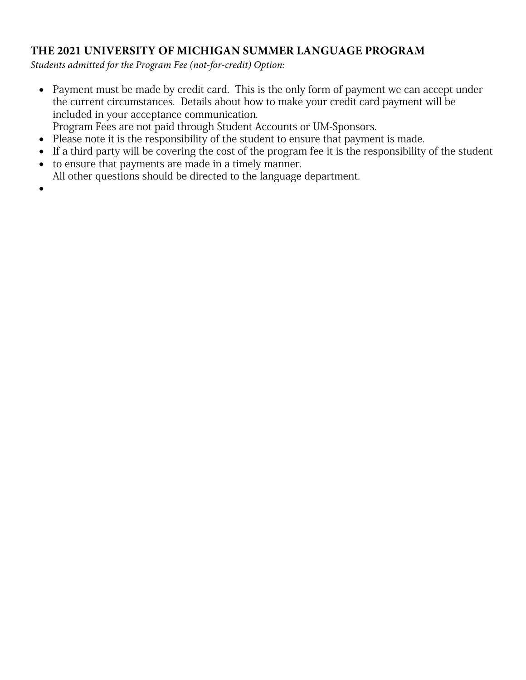## **THE 2021 UNIVERSITY OF MICHIGAN SUMMER LANGUAGE PROGRAM**

*Students admitted for the Program Fee (not-for-credit) Option:*

- Payment must be made by credit card. This is the only form of payment we can accept under the current circumstances. Details about how to make your credit card payment will be included in your acceptance communication.
- Program Fees are not paid through Student Accounts or UM-Sponsors.
- Please note it is the responsibility of the student to ensure that payment is made.
- If a third party will be covering the cost of the program fee it is the responsibility of the student
- to ensure that payments are made in a timely manner. All other questions should be directed to the language department.
- •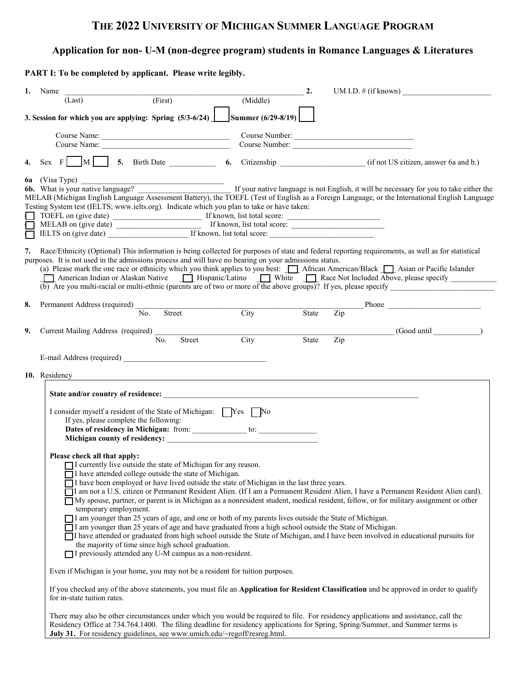## **THE 2022 UNIVERSITY OF MICHIGAN SUMMER LANGUAGE PROGRAM**

## **Application for non- U-M (non-degree program) students in Romance Languages & Literatures**

**PART I: To be completed by applicant. Please write legibly.** 

|        | 1. Name                            |                                                                                                                                                                                                                 |                    | 2.    |     | UM I.D. $\#$ (if known)                                                                                                                                                                                                                                                 |
|--------|------------------------------------|-----------------------------------------------------------------------------------------------------------------------------------------------------------------------------------------------------------------|--------------------|-------|-----|-------------------------------------------------------------------------------------------------------------------------------------------------------------------------------------------------------------------------------------------------------------------------|
|        | (Last)                             | (First)                                                                                                                                                                                                         | (Middle)           |       |     |                                                                                                                                                                                                                                                                         |
|        |                                    | 3. Session for which you are applying: Spring $(5/3-6/24)$                                                                                                                                                      | Summer (6/29-8/19) |       |     |                                                                                                                                                                                                                                                                         |
|        |                                    |                                                                                                                                                                                                                 |                    |       |     | Course Number:                                                                                                                                                                                                                                                          |
|        |                                    | Course Name:                                                                                                                                                                                                    |                    |       |     | Course Number:                                                                                                                                                                                                                                                          |
| 4.     |                                    |                                                                                                                                                                                                                 |                    |       |     | Sex F M 5. Birth Date 6. Citizenship (if not US citizen, answer 6a and b.)                                                                                                                                                                                              |
|        | <b>6a</b> (Visa Type)              |                                                                                                                                                                                                                 |                    |       |     | 6b. What is your native language?                                                                                                                                                                                                                                       |
|        |                                    |                                                                                                                                                                                                                 |                    |       |     | MELAB (Michigan English Language Assessment Battery), the TOEFL (Test of English as a Foreign Language, or the International English Language                                                                                                                           |
|        |                                    | Testing System test (IELTS; www.ielts.org). Indicate which you plan to take or have taken:                                                                                                                      |                    |       |     |                                                                                                                                                                                                                                                                         |
|        |                                    |                                                                                                                                                                                                                 |                    |       |     |                                                                                                                                                                                                                                                                         |
| $\Box$ |                                    | IELTS on (give date) If known, list total score:                                                                                                                                                                |                    |       |     |                                                                                                                                                                                                                                                                         |
|        |                                    |                                                                                                                                                                                                                 |                    |       |     |                                                                                                                                                                                                                                                                         |
|        |                                    | purposes. It is not used in the admissions process and will have no bearing on your admissions status.                                                                                                          |                    |       |     | 7. Race/Ethnicity (Optional) This information is being collected for purposes of state and federal reporting requirements, as well as for statistical                                                                                                                   |
|        |                                    |                                                                                                                                                                                                                 |                    |       |     | (a) Please mark the one race or ethnicity which you think applies to you best: <u>11</u> African American/Black 15 Asian or Pacific Islander                                                                                                                            |
|        |                                    |                                                                                                                                                                                                                 |                    |       |     | American Indian or Alaskan Native   Hispanic/Latino   White   Race Not Included Above, please specify<br>(b) Are you multi-racial or multi-ethnic (parents are of two or more of the above groups)? If yes, please specify                                              |
|        |                                    |                                                                                                                                                                                                                 |                    |       |     |                                                                                                                                                                                                                                                                         |
| 8.     |                                    | No.<br>Street                                                                                                                                                                                                   | City               | State | Zip |                                                                                                                                                                                                                                                                         |
|        |                                    |                                                                                                                                                                                                                 |                    |       |     |                                                                                                                                                                                                                                                                         |
| 9.     | Current Mailing Address (required) |                                                                                                                                                                                                                 |                    |       |     | (Good until )                                                                                                                                                                                                                                                           |
|        |                                    | No.<br>Street                                                                                                                                                                                                   | City               | State | Zip |                                                                                                                                                                                                                                                                         |
|        |                                    |                                                                                                                                                                                                                 |                    |       |     |                                                                                                                                                                                                                                                                         |
|        |                                    |                                                                                                                                                                                                                 |                    |       |     |                                                                                                                                                                                                                                                                         |
|        | 10. Residency                      |                                                                                                                                                                                                                 |                    |       |     |                                                                                                                                                                                                                                                                         |
|        |                                    | State and/or country of residence:                                                                                                                                                                              |                    |       |     |                                                                                                                                                                                                                                                                         |
|        |                                    |                                                                                                                                                                                                                 |                    |       |     |                                                                                                                                                                                                                                                                         |
|        |                                    | I consider myself a resident of the State of Michigan: Ves No<br>If yes, please complete the following:                                                                                                         |                    |       |     |                                                                                                                                                                                                                                                                         |
|        |                                    |                                                                                                                                                                                                                 |                    |       |     |                                                                                                                                                                                                                                                                         |
|        |                                    |                                                                                                                                                                                                                 |                    |       |     |                                                                                                                                                                                                                                                                         |
|        |                                    |                                                                                                                                                                                                                 |                    |       |     |                                                                                                                                                                                                                                                                         |
|        | Please check all that apply:       | I currently live outside the state of Michigan for any reason.                                                                                                                                                  |                    |       |     |                                                                                                                                                                                                                                                                         |
|        |                                    | □ I have attended college outside the state of Michigan.                                                                                                                                                        |                    |       |     |                                                                                                                                                                                                                                                                         |
|        |                                    | $\overline{\Box}$ I have been employed or have lived outside the state of Michigan in the last three years.                                                                                                     |                    |       |     |                                                                                                                                                                                                                                                                         |
|        |                                    |                                                                                                                                                                                                                 |                    |       |     | I am not a U.S. citizen or Permanent Resident Alien. (If I am a Permanent Resident Alien, I have a Permanent Resident Alien card).                                                                                                                                      |
|        |                                    |                                                                                                                                                                                                                 |                    |       |     | My spouse, partner, or parent is in Michigan as a nonresident student, medical resident, fellow, or for military assignment or other                                                                                                                                    |
|        | temporary employment.              |                                                                                                                                                                                                                 |                    |       |     |                                                                                                                                                                                                                                                                         |
|        |                                    | I am younger than 25 years of age, and one or both of my parents lives outside the State of Michigan.<br>I am younger than 25 years of age and have graduated from a high school outside the State of Michigan. |                    |       |     |                                                                                                                                                                                                                                                                         |
|        |                                    |                                                                                                                                                                                                                 |                    |       |     | I have attended or graduated from high school outside the State of Michigan, and I have been involved in educational pursuits for                                                                                                                                       |
|        |                                    | the majority of time since high school graduation.                                                                                                                                                              |                    |       |     |                                                                                                                                                                                                                                                                         |
|        |                                    | □ I previously attended any U-M campus as a non-resident.                                                                                                                                                       |                    |       |     |                                                                                                                                                                                                                                                                         |
|        |                                    | Even if Michigan is your home, you may not be a resident for tuition purposes.                                                                                                                                  |                    |       |     |                                                                                                                                                                                                                                                                         |
|        |                                    |                                                                                                                                                                                                                 |                    |       |     | If you checked any of the above statements, you must file an Application for Resident Classification and be approved in order to qualify                                                                                                                                |
|        | for in-state tuition rates.        |                                                                                                                                                                                                                 |                    |       |     |                                                                                                                                                                                                                                                                         |
|        |                                    |                                                                                                                                                                                                                 |                    |       |     |                                                                                                                                                                                                                                                                         |
|        |                                    |                                                                                                                                                                                                                 |                    |       |     | There may also be other circumstances under which you would be required to file. For residency applications and assistance, call the<br>Residency Office at 734.764.1400. The filing deadline for residency applications for Spring, Spring/Summer, and Summer terms is |
|        |                                    | July 31. For residency guidelines, see www.umich.edu/~regoff/resreg.html.                                                                                                                                       |                    |       |     |                                                                                                                                                                                                                                                                         |
|        |                                    |                                                                                                                                                                                                                 |                    |       |     |                                                                                                                                                                                                                                                                         |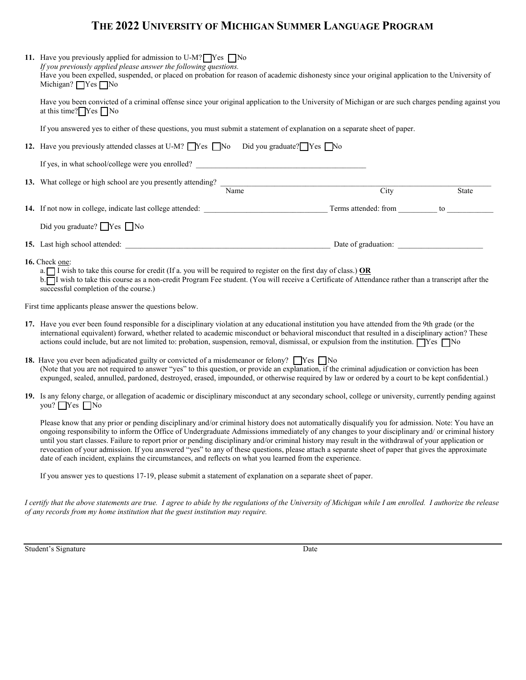## **THE 2022 UNIVERSITY OF MICHIGAN SUMMER LANGUAGE PROGRAM**

| 11. Have you previously applied for admission to U-M? $\Box$ Yes $\Box$ No<br>If you previously applied please answer the following questions.<br>Have you been expelled, suspended, or placed on probation for reason of academic dishonesty since your original application to the University of<br>Michigan? $\Box$ Yes $\Box$ No                                                                                                                                                                                                                                                                               |                     |       |  |  |  |
|--------------------------------------------------------------------------------------------------------------------------------------------------------------------------------------------------------------------------------------------------------------------------------------------------------------------------------------------------------------------------------------------------------------------------------------------------------------------------------------------------------------------------------------------------------------------------------------------------------------------|---------------------|-------|--|--|--|
| Have you been convicted of a criminal offense since your original application to the University of Michigan or are such charges pending against you<br>at this time? $\sqrt{\text{Yes}} \sqrt{\text{No}}$                                                                                                                                                                                                                                                                                                                                                                                                          |                     |       |  |  |  |
| If you answered yes to either of these questions, you must submit a statement of explanation on a separate sheet of paper.                                                                                                                                                                                                                                                                                                                                                                                                                                                                                         |                     |       |  |  |  |
| 12. Have you previously attended classes at U-M? Thes No Did you graduate? Thes No                                                                                                                                                                                                                                                                                                                                                                                                                                                                                                                                 |                     |       |  |  |  |
| If yes, in what school/college were you enrolled?                                                                                                                                                                                                                                                                                                                                                                                                                                                                                                                                                                  |                     |       |  |  |  |
| 13. What college or high school are you presently attending? $\frac{1}{\text{Name}}$                                                                                                                                                                                                                                                                                                                                                                                                                                                                                                                               |                     |       |  |  |  |
|                                                                                                                                                                                                                                                                                                                                                                                                                                                                                                                                                                                                                    | City                | State |  |  |  |
|                                                                                                                                                                                                                                                                                                                                                                                                                                                                                                                                                                                                                    |                     |       |  |  |  |
| Did you graduate? TYes No                                                                                                                                                                                                                                                                                                                                                                                                                                                                                                                                                                                          |                     |       |  |  |  |
| 15. Last high school attended:                                                                                                                                                                                                                                                                                                                                                                                                                                                                                                                                                                                     | Date of graduation: |       |  |  |  |
| 16. Check one:<br>a. I wish to take this course for credit (If a. you will be required to register on the first day of class.) OR<br>b. I wish to take this course as a non-credit Program Fee student. (You will receive a Certificate of Attendance rather than a transcript after the<br>successful completion of the course.)                                                                                                                                                                                                                                                                                  |                     |       |  |  |  |
| First time applicants please answer the questions below.                                                                                                                                                                                                                                                                                                                                                                                                                                                                                                                                                           |                     |       |  |  |  |
| 17. Have you ever been found responsible for a disciplinary violation at any educational institution you have attended from the 9th grade (or the<br>international equivalent) forward, whether related to academic misconduct or behavioral misconduct that resulted in a disciplinary action? These<br>actions could include, but are not limited to: probation, suspension, removal, dismissal, or expulsion from the institution. $\Box$ Yes $\Box$ No                                                                                                                                                         |                     |       |  |  |  |
| <b>18.</b> Have you ever been adjudicated guilty or convicted of a misdemeanor or felony? $\Box$ Yes $\Box$ No<br>(Note that you are not required to answer "yes" to this question, or provide an explanation, if the criminal adjudication or conviction has been<br>expunged, sealed, annulled, pardoned, destroyed, erased, impounded, or otherwise required by law or ordered by a court to be kept confidential.)                                                                                                                                                                                             |                     |       |  |  |  |
| 19. Is any felony charge, or allegation of academic or disciplinary misconduct at any secondary school, college or university, currently pending against<br>you? □ Yes □ No                                                                                                                                                                                                                                                                                                                                                                                                                                        |                     |       |  |  |  |
| Please know that any prior or pending disciplinary and/or criminal history does not automatically disqualify you for admission. Note: You have an<br>ongoing responsibility to inform the Office of Undergraduate Admissions immediately of any changes to your disciplinary and/ or criminal history<br>until you start classes. Failure to report prior or pending disciplinary and/or criminal history may result in the withdrawal of your application or<br>revocation of your admission. If you answered "yes" to any of these questions, please attach a separate sheet of paper that gives the approximate |                     |       |  |  |  |

If you answer yes to questions 17-19, please submit a statement of explanation on a separate sheet of paper.

date of each incident, explains the circumstances, and reflects on what you learned from the experience.

*I certify that the above statements are true. I agree to abide by the regulations of the University of Michigan while I am enrolled. I authorize the release of any records from my home institution that the guest institution may require.*

Student's Signature Date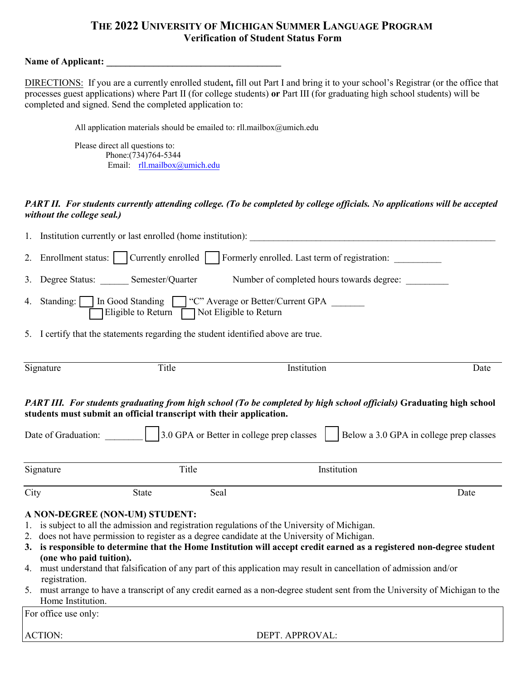### **THE 2022 UNIVERSITY OF MICHIGAN SUMMER LANGUAGE PROGRAM Verification of Student Status Form**

#### Name of Applicant:

DIRECTIONS: If you are a currently enrolled student**,** fill out Part I and bring it to your school's Registrar (or the office that processes guest applications) where Part II (for college students) **or** Part III (for graduating high school students) will be completed and signed. Send the completed application to:

All application materials should be emailed to: rll.mailbox@umich.edu

Please direct all questions to: Phone:(734)764-5344 Email: rll.mailbox@umich.edu

### *PART II. For students currently attending college. (To be completed by college officials. No applications will be accepted without the college seal.)*

|                                                                                                                                                                                                                                        | 1. Institution currently or last enrolled (home institution):                                               |                      |                                                                                         |      |  |  |  |  |
|----------------------------------------------------------------------------------------------------------------------------------------------------------------------------------------------------------------------------------------|-------------------------------------------------------------------------------------------------------------|----------------------|-----------------------------------------------------------------------------------------|------|--|--|--|--|
| 2.                                                                                                                                                                                                                                     |                                                                                                             |                      | Enrollment status:   Currently enrolled   Formerly enrolled. Last term of registration: |      |  |  |  |  |
|                                                                                                                                                                                                                                        | 3. Degree Status: Semester/Quarter<br>Number of completed hours towards degree:                             |                      |                                                                                         |      |  |  |  |  |
| 4.                                                                                                                                                                                                                                     | Standing: In Good Standing T "C" Average or Better/Current GPA<br>Eligible to Return Not Eligible to Return |                      |                                                                                         |      |  |  |  |  |
|                                                                                                                                                                                                                                        |                                                                                                             |                      | 5. I certify that the statements regarding the student identified above are true.       |      |  |  |  |  |
|                                                                                                                                                                                                                                        | Signature                                                                                                   | Title                | Institution                                                                             | Date |  |  |  |  |
| PART III. For students graduating from high school (To be completed by high school officials) Graduating high school<br>students must submit an official transcript with their application.<br>Below a 3.0 GPA in college prep classes |                                                                                                             |                      |                                                                                         |      |  |  |  |  |
|                                                                                                                                                                                                                                        |                                                                                                             |                      |                                                                                         |      |  |  |  |  |
|                                                                                                                                                                                                                                        | Signature                                                                                                   | Title                | Institution                                                                             |      |  |  |  |  |
| City                                                                                                                                                                                                                                   |                                                                                                             | Seal<br><b>State</b> |                                                                                         | Date |  |  |  |  |

ACTION: DEPT. APPROVAL: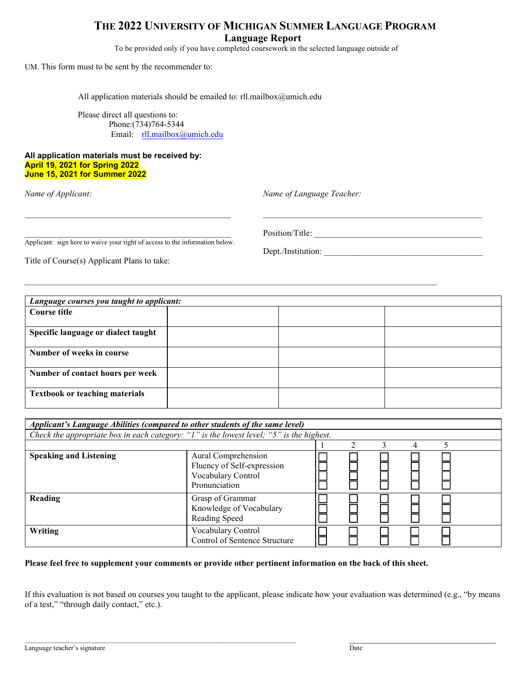### **THE 2022 UNIVERSITY OF MICHIGAN SUMMER LANGUAGE PROGRAM Language Report**

To be provided only if you have completed coursework in the selected language outside of

UM. This form must to be sent by the recommender to:

All application materials should be emailed to: rll.mailbox@umich.edu

Please direct all questions to: Phone:(734)764-5344 Email: rll.mailbox@umich.edu

#### **All application materials must be received by: April 19, 2021 for Spring 2022 June 15, 2021 for Summer 2022**

*Name of Applicant: Name of Language Teacher:*

Applicant: sign here to waive your right of access to the information below.

Title of Course(s) Applicant Plans to take:

\_\_\_\_\_\_\_\_\_\_\_\_\_\_\_\_\_\_\_\_\_\_\_\_\_\_\_\_\_\_\_\_\_\_\_\_\_\_\_\_\_\_\_\_\_\_\_\_ Position/Title: \_\_\_\_\_\_\_\_\_\_\_\_\_\_\_\_\_\_\_\_\_\_\_\_\_\_\_\_\_\_\_\_\_\_\_\_\_\_\_

Dept./Institution:

| Language courses you taught to applicant: |  |  |  |  |  |
|-------------------------------------------|--|--|--|--|--|
| Course title                              |  |  |  |  |  |
| Specific language or dialect taught       |  |  |  |  |  |
| Number of weeks in course                 |  |  |  |  |  |
| Number of contact hours per week          |  |  |  |  |  |
| <b>Textbook or teaching materials</b>     |  |  |  |  |  |

\_\_\_\_\_\_\_\_\_\_\_\_\_\_\_\_\_\_\_\_\_\_\_\_\_\_\_\_\_\_\_\_\_\_\_\_\_\_\_\_\_\_\_\_\_\_\_\_ \_\_\_\_\_\_\_\_\_\_\_\_\_\_\_\_\_\_\_\_\_\_\_\_\_\_\_\_\_\_\_\_\_\_\_\_\_\_\_\_\_\_\_\_\_\_\_\_\_\_\_

\_\_\_\_\_\_\_\_\_\_\_\_\_\_\_\_\_\_\_\_\_\_\_\_\_\_\_\_\_\_\_\_\_\_\_\_\_\_\_\_\_\_\_\_\_\_\_\_\_\_\_\_\_\_\_\_\_\_\_\_\_\_\_\_\_\_\_\_\_\_\_\_\_\_\_\_\_\_\_\_\_\_\_\_\_\_\_\_\_\_\_\_\_\_\_\_

| Applicant's Language Abilities (compared to other students of the same level)            |                                                                                          |  |  |  |  |  |  |  |
|------------------------------------------------------------------------------------------|------------------------------------------------------------------------------------------|--|--|--|--|--|--|--|
| Check the appropriate box in each category: "1" is the lowest level; "5" is the highest. |                                                                                          |  |  |  |  |  |  |  |
|                                                                                          |                                                                                          |  |  |  |  |  |  |  |
| <b>Speaking and Listening</b>                                                            | Aural Comprehension<br>Fluency of Self-expression<br>Vocabulary Control<br>Pronunciation |  |  |  |  |  |  |  |
| Reading                                                                                  | Grasp of Grammar<br>Knowledge of Vocabulary<br>Reading Speed                             |  |  |  |  |  |  |  |
| Writing                                                                                  | Vocabulary Control<br>Control of Sentence Structure                                      |  |  |  |  |  |  |  |

#### **Please feel free to supplement your comments or provide other pertinent information on the back of this sheet.**

If this evaluation is not based on courses you taught to the applicant, please indicate how your evaluation was determined (e.g., "by means of a test," "through daily contact," etc.).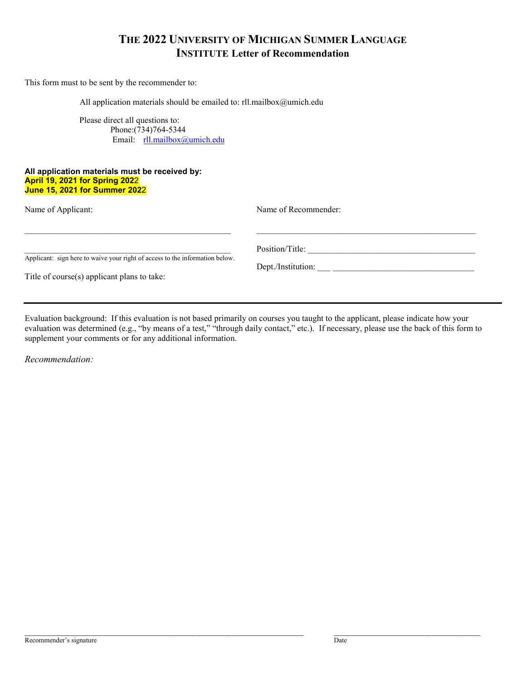### **THE 2022 UNIVERSITY OF MICHIGAN SUMMER LANGUAGE INSTITUTE Letter of Recommendation**

This form must to be sent by the recommender to:

All application materials should be emailed to: rll.mailbox@umich.edu

Please direct all questions to: Phone:(734)764-5344 Email: rll.mailbox@umich.edu

#### **All application materials must be received by: April 19, 2021 for Spring 202**2 **June 15, 2021 for Summer 202**2

| Name of Applicant:                                                                                                          | Name of Recommender:                  |
|-----------------------------------------------------------------------------------------------------------------------------|---------------------------------------|
| Applicant: sign here to waive your right of access to the information below.<br>Title of course(s) applicant plans to take: | Position/Title:<br>Dept./Institution: |

Evaluation background: If this evaluation is not based primarily on courses you taught to the applicant, please indicate how your evaluation was determined (e.g., "by means of a test," "through daily contact," etc.). If necessary, please use the back of this form to supplement your comments or for any additional information.

*Recommendation:*